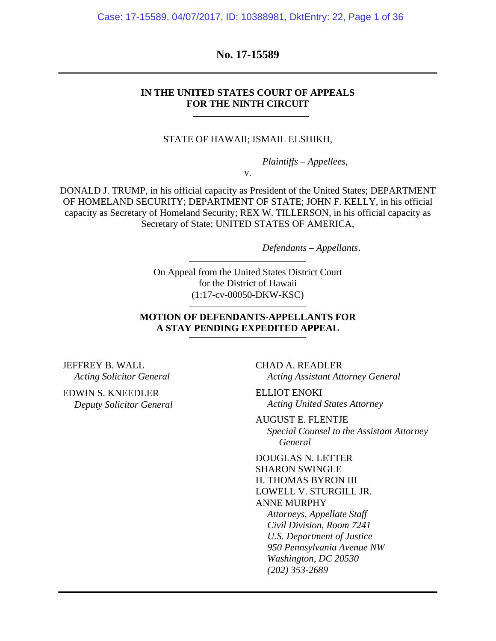Case: 17-15589, 04/07/2017, ID: 10388981, DktEntry: 22, Page 1 of 36

**No. 17-15589** 

### **IN THE UNITED STATES COURT OF APPEALS FOR THE NINTH CIRCUIT**

STATE OF HAWAII; ISMAIL ELSHIKH,

*Plaintiffs – Appellees*,

v.

DONALD J. TRUMP, in his official capacity as President of the United States; DEPARTMENT OF HOMELAND SECURITY; DEPARTMENT OF STATE; JOHN F. KELLY, in his official capacity as Secretary of Homeland Security; REX W. TILLERSON, in his official capacity as Secretary of State; UNITED STATES OF AMERICA,

*Defendants – Appellants*.

On Appeal from the United States District Court for the District of Hawaii (1:17-cv-00050-DKW-KSC)

### **MOTION OF DEFENDANTS-APPELLANTS FOR A STAY PENDING EXPEDITED APPEAL**

JEFFREY B. WALL *Acting Solicitor General* 

EDWIN S. KNEEDLER *Deputy Solicitor General*  CHAD A. READLER *Acting Assistant Attorney General* 

ELLIOT ENOKI *Acting United States Attorney* 

AUGUST E. FLENTJE *Special Counsel to the Assistant Attorney General* 

DOUGLAS N. LETTER SHARON SWINGLE H. THOMAS BYRON III LOWELL V. STURGILL JR. ANNE MURPHY *Attorneys, Appellate Staff Civil Division, Room 7241 U.S. Department of Justice 950 Pennsylvania Avenue NW Washington, DC 20530 (202) 353-2689*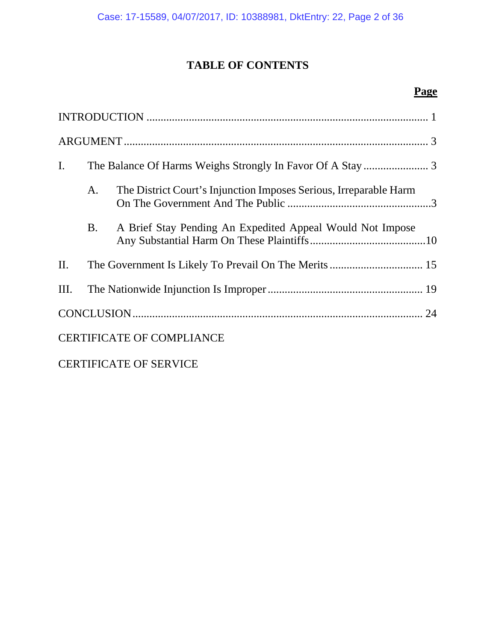## **TABLE OF CONTENTS**

### **Page**

| $\mathbf{I}$ . |           |                                                                   |  |
|----------------|-----------|-------------------------------------------------------------------|--|
|                | А.        | The District Court's Injunction Imposes Serious, Irreparable Harm |  |
|                | <b>B.</b> | A Brief Stay Pending An Expedited Appeal Would Not Impose         |  |
| $\prod$ .      |           |                                                                   |  |
| Ш.             |           |                                                                   |  |
|                |           |                                                                   |  |
|                |           | <b>CERTIFICATE OF COMPLIANCE</b>                                  |  |
|                |           |                                                                   |  |

CERTIFICATE OF SERVICE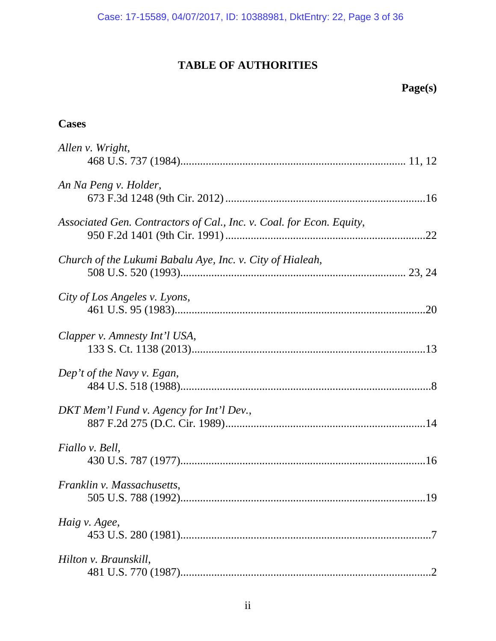# **TABLE OF AUTHORITIES**

## **Page(s)**

### **Cases**

| Allen v. Wright,                                                     |
|----------------------------------------------------------------------|
| An Na Peng v. Holder,                                                |
| Associated Gen. Contractors of Cal., Inc. v. Coal. for Econ. Equity, |
| Church of the Lukumi Babalu Aye, Inc. v. City of Hialeah,            |
| City of Los Angeles v. Lyons,                                        |
| Clapper v. Amnesty Int'l USA,                                        |
| Dep't of the Navy v. Egan,                                           |
| DKT Mem'l Fund v. Agency for Int'l Dev.,                             |
| Fiallo v. Bell,                                                      |
| Franklin v. Massachusetts,                                           |
| Haig v. Agee,                                                        |
| Hilton v. Braunskill,                                                |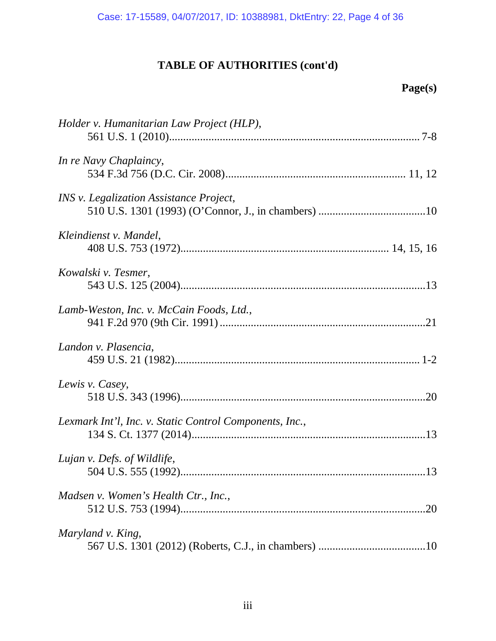# **TABLE OF AUTHORITIES (cont'd)**

# **Page(s)**

| Holder v. Humanitarian Law Project (HLP),               |
|---------------------------------------------------------|
| In re Navy Chaplaincy,                                  |
| INS v. Legalization Assistance Project,                 |
| Kleindienst v. Mandel,                                  |
| Kowalski v. Tesmer,                                     |
| Lamb-Weston, Inc. v. McCain Foods, Ltd.,                |
| Landon v. Plasencia,                                    |
| Lewis v. Casey,                                         |
| Lexmark Int'l, Inc. v. Static Control Components, Inc., |
| Lujan v. Defs. of Wildlife,                             |
| Madsen v. Women's Health Ctr., Inc.,<br>.20             |
| Maryland v. King,                                       |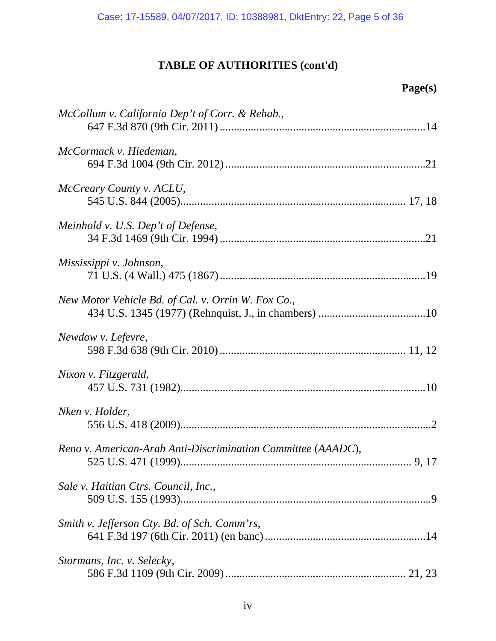# **TABLE OF AUTHORITIES (cont'd)**

# **Page(s)**

| McCollum v. California Dep't of Corr. & Rehab.,              |
|--------------------------------------------------------------|
| McCormack v. Hiedeman,                                       |
| McCreary County v. ACLU,                                     |
| Meinhold v. U.S. Dep't of Defense,                           |
| Mississippi v. Johnson,                                      |
| New Motor Vehicle Bd. of Cal. v. Orrin W. Fox Co.,           |
| Newdow v. Lefevre,                                           |
| Nixon v. Fitzgerald,                                         |
| Nken v. Holder,                                              |
| Reno v. American-Arab Anti-Discrimination Committee (AAADC), |
| Sale v. Haitian Ctrs. Council, Inc.,                         |
| Smith v. Jefferson Cty. Bd. of Sch. Comm'rs,                 |
| Stormans, Inc. v. Selecky,                                   |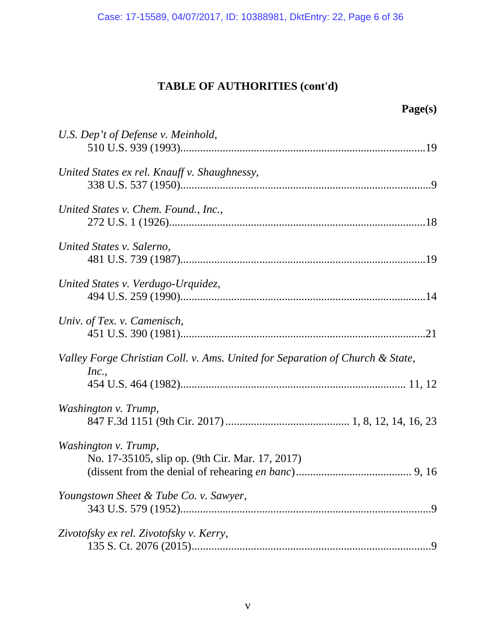Case: 17-15589, 04/07/2017, ID: 10388981, DktEntry: 22, Page 6 of 36

# **TABLE OF AUTHORITIES (cont'd)**

| Page(s)                                                                                |
|----------------------------------------------------------------------------------------|
| U.S. Dep't of Defense v. Meinhold,                                                     |
| United States ex rel. Knauff v. Shaughnessy,                                           |
| United States v. Chem. Found., Inc.,                                                   |
| United States v. Salerno,                                                              |
| United States v. Verdugo-Urquidez,                                                     |
| Univ. of Tex. v. Camenisch,<br>.21                                                     |
| Valley Forge Christian Coll. v. Ams. United for Separation of Church & State,<br>Inc., |
|                                                                                        |
| Washington v. Trump,                                                                   |
| Washington v. Trump,<br>No. 17-35105, slip op. (9th Cir. Mar. 17, 2017)                |
| Youngstown Sheet & Tube Co. v. Sawyer,                                                 |
| Zivotofsky ex rel. Zivotofsky v. Kerry,                                                |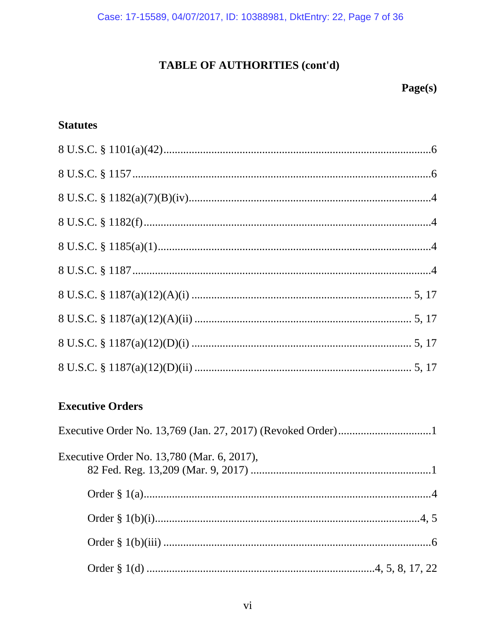# TABLE OF AUTHORITIES (cont'd)

## Page(s)

### **Statutes**

## **Executive Orders**

| Executive Order No. 13,780 (Mar. 6, 2017), |  |
|--------------------------------------------|--|
|                                            |  |
|                                            |  |
|                                            |  |
|                                            |  |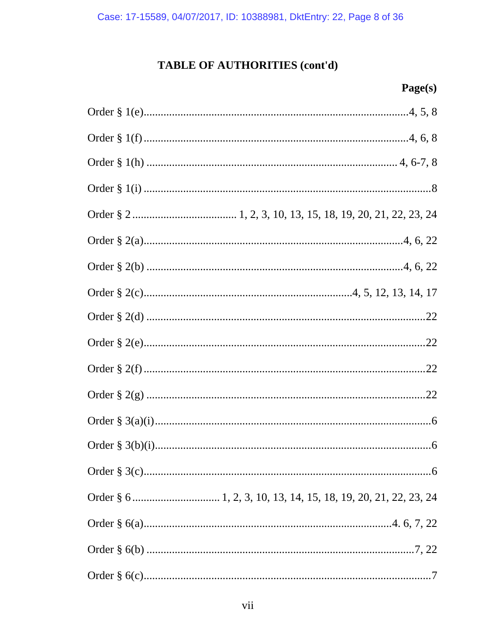# TABLE OF AUTHORITIES (cont'd)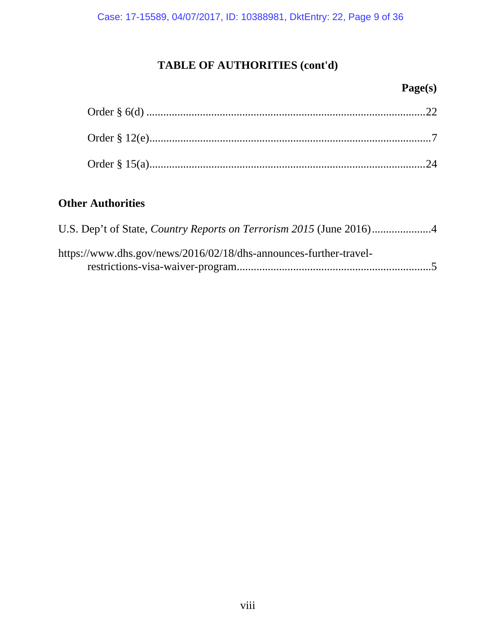Case: 17-15589, 04/07/2017, ID: 10388981, DktEntry: 22, Page 9 of 36

# **TABLE OF AUTHORITIES (cont'd)**

## **Page(s)**

# **Other Authorities**

| https://www.dhs.gov/news/2016/02/18/dhs-announces-further-travel- |  |
|-------------------------------------------------------------------|--|
|                                                                   |  |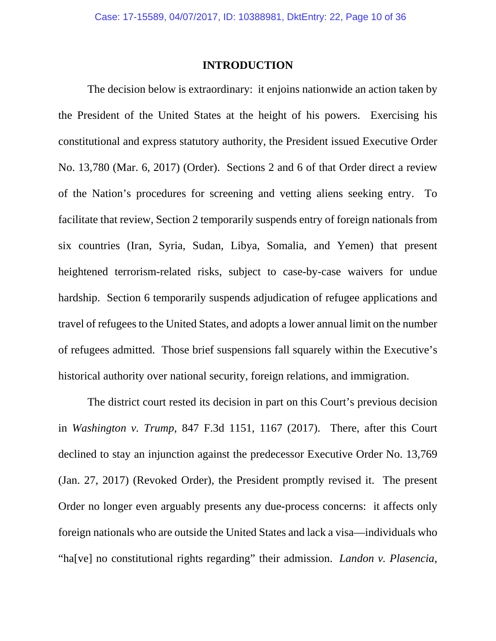### **INTRODUCTION**

The decision below is extraordinary: it enjoins nationwide an action taken by the President of the United States at the height of his powers. Exercising his constitutional and express statutory authority, the President issued Executive Order No. 13,780 (Mar. 6, 2017) (Order). Sections 2 and 6 of that Order direct a review of the Nation's procedures for screening and vetting aliens seeking entry. To facilitate that review, Section 2 temporarily suspends entry of foreign nationals from six countries (Iran, Syria, Sudan, Libya, Somalia, and Yemen) that present heightened terrorism-related risks, subject to case-by-case waivers for undue hardship. Section 6 temporarily suspends adjudication of refugee applications and travel of refugees to the United States, and adopts a lower annual limit on the number of refugees admitted. Those brief suspensions fall squarely within the Executive's historical authority over national security, foreign relations, and immigration.

The district court rested its decision in part on this Court's previous decision in *Washington v. Trump*, 847 F.3d 1151, 1167 (2017). There, after this Court declined to stay an injunction against the predecessor Executive Order No. 13,769 (Jan. 27, 2017) (Revoked Order), the President promptly revised it. The present Order no longer even arguably presents any due-process concerns: it affects only foreign nationals who are outside the United States and lack a visa—individuals who "ha[ve] no constitutional rights regarding" their admission. *Landon v. Plasencia*,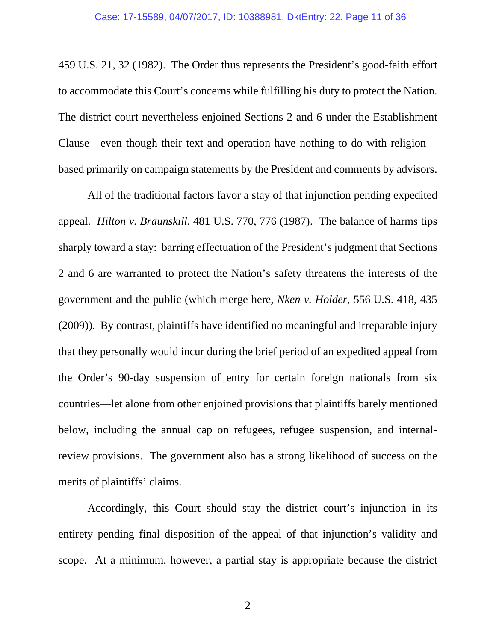459 U.S. 21, 32 (1982). The Order thus represents the President's good-faith effort to accommodate this Court's concerns while fulfilling his duty to protect the Nation. The district court nevertheless enjoined Sections 2 and 6 under the Establishment Clause—even though their text and operation have nothing to do with religion based primarily on campaign statements by the President and comments by advisors.

All of the traditional factors favor a stay of that injunction pending expedited appeal. *Hilton v. Braunskill*, 481 U.S. 770, 776 (1987). The balance of harms tips sharply toward a stay: barring effectuation of the President's judgment that Sections 2 and 6 are warranted to protect the Nation's safety threatens the interests of the government and the public (which merge here, *Nken v. Holder*, 556 U.S. 418, 435 (2009)). By contrast, plaintiffs have identified no meaningful and irreparable injury that they personally would incur during the brief period of an expedited appeal from the Order's 90-day suspension of entry for certain foreign nationals from six countries—let alone from other enjoined provisions that plaintiffs barely mentioned below, including the annual cap on refugees, refugee suspension, and internalreview provisions. The government also has a strong likelihood of success on the merits of plaintiffs' claims.

Accordingly, this Court should stay the district court's injunction in its entirety pending final disposition of the appeal of that injunction's validity and scope. At a minimum, however, a partial stay is appropriate because the district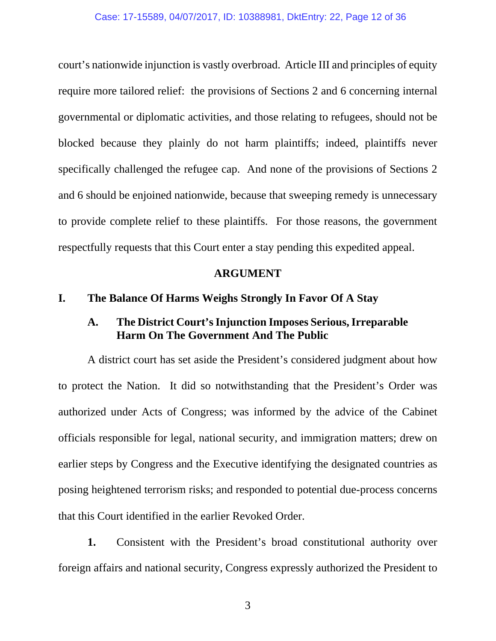court's nationwide injunction is vastly overbroad. Article III and principles of equity require more tailored relief: the provisions of Sections 2 and 6 concerning internal governmental or diplomatic activities, and those relating to refugees, should not be blocked because they plainly do not harm plaintiffs; indeed, plaintiffs never specifically challenged the refugee cap. And none of the provisions of Sections 2 and 6 should be enjoined nationwide, because that sweeping remedy is unnecessary to provide complete relief to these plaintiffs. For those reasons, the government respectfully requests that this Court enter a stay pending this expedited appeal.

### **ARGUMENT**

### **I. The Balance Of Harms Weighs Strongly In Favor Of A Stay**

### **A. The District Court's Injunction Imposes Serious, Irreparable Harm On The Government And The Public**

 A district court has set aside the President's considered judgment about how to protect the Nation. It did so notwithstanding that the President's Order was authorized under Acts of Congress; was informed by the advice of the Cabinet officials responsible for legal, national security, and immigration matters; drew on earlier steps by Congress and the Executive identifying the designated countries as posing heightened terrorism risks; and responded to potential due-process concerns that this Court identified in the earlier Revoked Order.

**1.** Consistent with the President's broad constitutional authority over foreign affairs and national security, Congress expressly authorized the President to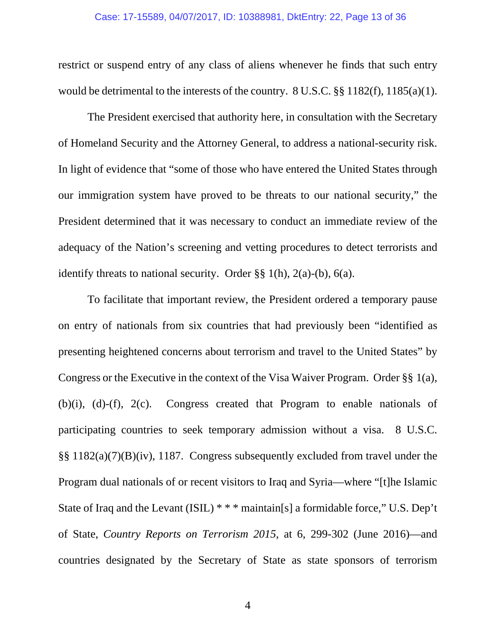restrict or suspend entry of any class of aliens whenever he finds that such entry would be detrimental to the interests of the country. 8 U.S.C. §§ 1182(f), 1185(a)(1).

 The President exercised that authority here, in consultation with the Secretary of Homeland Security and the Attorney General, to address a national-security risk. In light of evidence that "some of those who have entered the United States through our immigration system have proved to be threats to our national security," the President determined that it was necessary to conduct an immediate review of the adequacy of the Nation's screening and vetting procedures to detect terrorists and identify threats to national security. Order §§ 1(h), 2(a)-(b), 6(a).

 To facilitate that important review, the President ordered a temporary pause on entry of nationals from six countries that had previously been "identified as presenting heightened concerns about terrorism and travel to the United States" by Congress or the Executive in the context of the Visa Waiver Program. Order §§ 1(a), (b)(i), (d)-(f), 2(c). Congress created that Program to enable nationals of participating countries to seek temporary admission without a visa. 8 U.S.C. §§ 1182(a)(7)(B)(iv), 1187. Congress subsequently excluded from travel under the Program dual nationals of or recent visitors to Iraq and Syria—where "[t]he Islamic State of Iraq and the Levant (ISIL) \* \* \* maintain[s] a formidable force," U.S. Dep't of State, *Country Reports on Terrorism 2015*, at 6, 299-302 (June 2016)—and countries designated by the Secretary of State as state sponsors of terrorism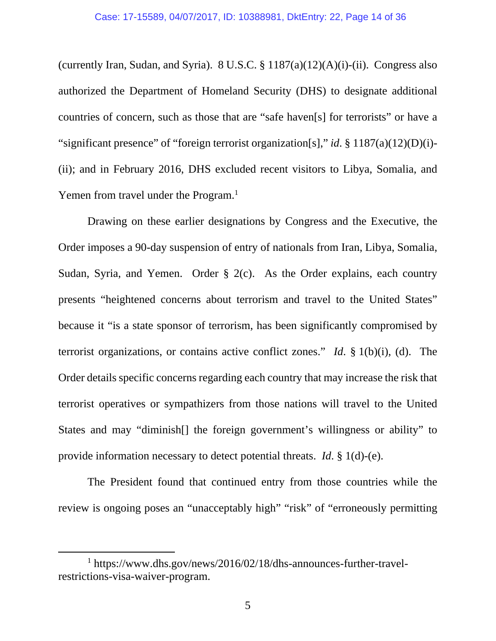(currently Iran, Sudan, and Syria). 8 U.S.C.  $\S 1187(a)(12)(A)(i)$ -(ii). Congress also authorized the Department of Homeland Security (DHS) to designate additional countries of concern, such as those that are "safe haven[s] for terrorists" or have a "significant presence" of "foreign terrorist organization[s]," *id*. § 1187(a)(12)(D)(i)- (ii); and in February 2016, DHS excluded recent visitors to Libya, Somalia, and Yemen from travel under the Program.<sup>1</sup>

 Drawing on these earlier designations by Congress and the Executive, the Order imposes a 90-day suspension of entry of nationals from Iran, Libya, Somalia, Sudan, Syria, and Yemen. Order § 2(c). As the Order explains, each country presents "heightened concerns about terrorism and travel to the United States" because it "is a state sponsor of terrorism, has been significantly compromised by terrorist organizations, or contains active conflict zones." *Id*. § 1(b)(i), (d). The Order details specific concerns regarding each country that may increase the risk that terrorist operatives or sympathizers from those nations will travel to the United States and may "diminish[] the foreign government's willingness or ability" to provide information necessary to detect potential threats. *Id*. § 1(d)-(e).

 The President found that continued entry from those countries while the review is ongoing poses an "unacceptably high" "risk" of "erroneously permitting

 $\overline{\phantom{a}}$  https://www.dhs.gov/news/2016/02/18/dhs-announces-further-travelrestrictions-visa-waiver-program.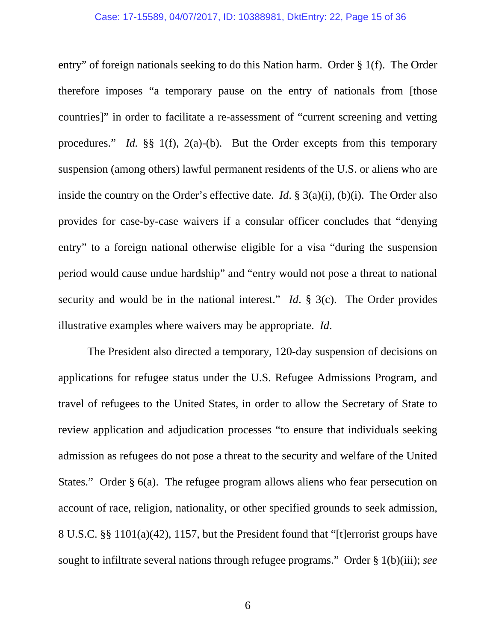#### Case: 17-15589, 04/07/2017, ID: 10388981, DktEntry: 22, Page 15 of 36

entry" of foreign nationals seeking to do this Nation harm. Order § 1(f). The Order therefore imposes "a temporary pause on the entry of nationals from [those countries]" in order to facilitate a re-assessment of "current screening and vetting procedures." *Id.* §§ 1(f), 2(a)-(b). But the Order excepts from this temporary suspension (among others) lawful permanent residents of the U.S. or aliens who are inside the country on the Order's effective date. *Id*. § 3(a)(i), (b)(i). The Order also provides for case-by-case waivers if a consular officer concludes that "denying entry" to a foreign national otherwise eligible for a visa "during the suspension period would cause undue hardship" and "entry would not pose a threat to national security and would be in the national interest." *Id*. § 3(c). The Order provides illustrative examples where waivers may be appropriate. *Id*.

 The President also directed a temporary, 120-day suspension of decisions on applications for refugee status under the U.S. Refugee Admissions Program, and travel of refugees to the United States, in order to allow the Secretary of State to review application and adjudication processes "to ensure that individuals seeking admission as refugees do not pose a threat to the security and welfare of the United States." Order § 6(a). The refugee program allows aliens who fear persecution on account of race, religion, nationality, or other specified grounds to seek admission, 8 U.S.C. §§ 1101(a)(42), 1157, but the President found that "[t]errorist groups have sought to infiltrate several nations through refugee programs." Order § 1(b)(iii); *see*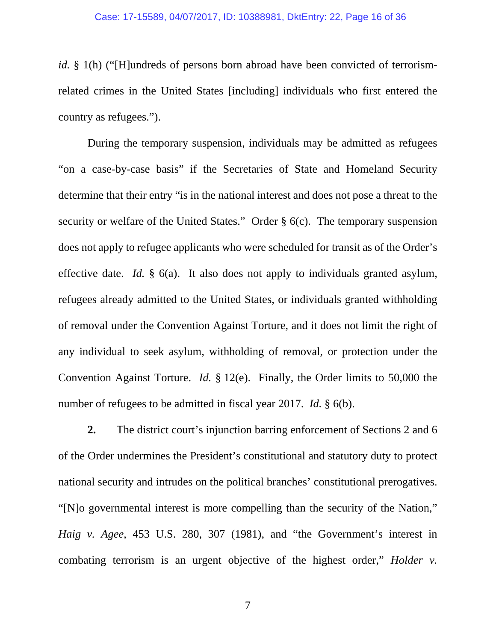#### Case: 17-15589, 04/07/2017, ID: 10388981, DktEntry: 22, Page 16 of 36

*id.* § 1(h) ("[H]undreds of persons born abroad have been convicted of terrorismrelated crimes in the United States [including] individuals who first entered the country as refugees.").

 During the temporary suspension, individuals may be admitted as refugees "on a case-by-case basis" if the Secretaries of State and Homeland Security determine that their entry "is in the national interest and does not pose a threat to the security or welfare of the United States." Order § 6(c). The temporary suspension does not apply to refugee applicants who were scheduled for transit as of the Order's effective date. *Id.* § 6(a). It also does not apply to individuals granted asylum, refugees already admitted to the United States, or individuals granted withholding of removal under the Convention Against Torture, and it does not limit the right of any individual to seek asylum, withholding of removal, or protection under the Convention Against Torture. *Id.* § 12(e). Finally, the Order limits to 50,000 the number of refugees to be admitted in fiscal year 2017. *Id.* § 6(b).

**2.** The district court's injunction barring enforcement of Sections 2 and 6 of the Order undermines the President's constitutional and statutory duty to protect national security and intrudes on the political branches' constitutional prerogatives. "[N]o governmental interest is more compelling than the security of the Nation," *Haig v. Agee*, 453 U.S. 280, 307 (1981), and "the Government's interest in combating terrorism is an urgent objective of the highest order," *Holder v.*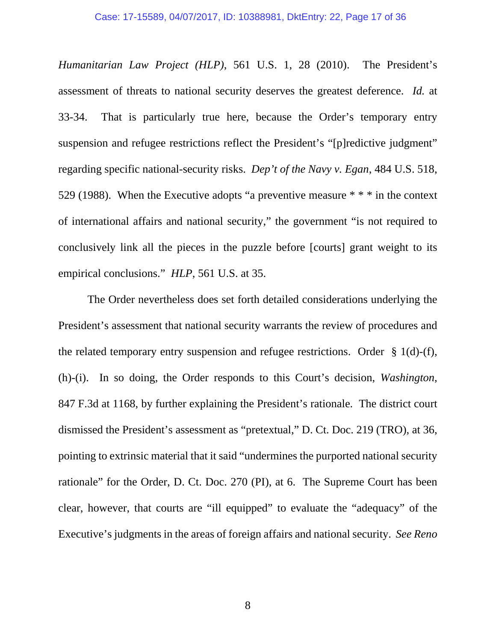*Humanitarian Law Project (HLP)*, 561 U.S. 1, 28 (2010). The President's assessment of threats to national security deserves the greatest deference. *Id.* at 33-34. That is particularly true here, because the Order's temporary entry suspension and refugee restrictions reflect the President's "[p]redictive judgment" regarding specific national-security risks. *Dep't of the Navy v. Egan*, 484 U.S. 518, 529 (1988). When the Executive adopts "a preventive measure \* \* \* in the context of international affairs and national security," the government "is not required to conclusively link all the pieces in the puzzle before [courts] grant weight to its empirical conclusions." *HLP*, 561 U.S. at 35.

 The Order nevertheless does set forth detailed considerations underlying the President's assessment that national security warrants the review of procedures and the related temporary entry suspension and refugee restrictions. Order § 1(d)-(f), (h)-(i). In so doing, the Order responds to this Court's decision, *Washington*, 847 F.3d at 1168, by further explaining the President's rationale. The district court dismissed the President's assessment as "pretextual," D. Ct. Doc. 219 (TRO), at 36, pointing to extrinsic material that it said "undermines the purported national security rationale" for the Order, D. Ct. Doc. 270 (PI), at 6. The Supreme Court has been clear, however, that courts are "ill equipped" to evaluate the "adequacy" of the Executive's judgments in the areas of foreign affairs and national security. *See Reno*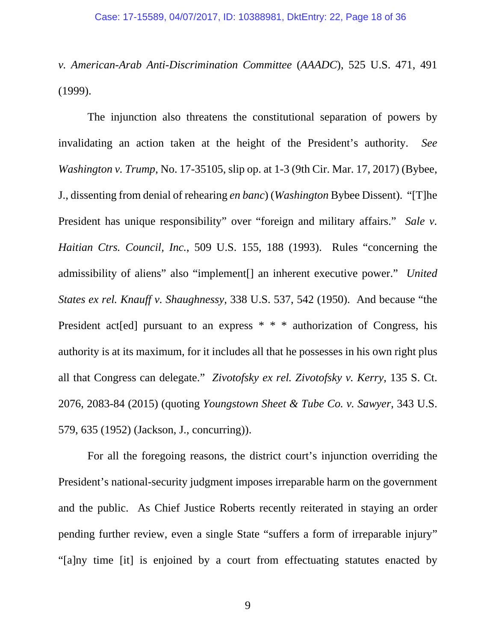*v. American-Arab Anti-Discrimination Committee* (*AAADC*), 525 U.S. 471, 491 (1999).

The injunction also threatens the constitutional separation of powers by invalidating an action taken at the height of the President's authority. *See Washington v. Trump*, No. 17-35105, slip op. at 1-3 (9th Cir. Mar. 17, 2017) (Bybee, J., dissenting from denial of rehearing *en banc*) (*Washington* Bybee Dissent). "[T]he President has unique responsibility" over "foreign and military affairs." *Sale v. Haitian Ctrs. Council, Inc.*, 509 U.S. 155, 188 (1993). Rules "concerning the admissibility of aliens" also "implement[] an inherent executive power." *United States ex rel. Knauff v. Shaughnessy*, 338 U.S. 537, 542 (1950). And because "the President act[ed] pursuant to an express \* \* \* authorization of Congress, his authority is at its maximum, for it includes all that he possesses in his own right plus all that Congress can delegate." *Zivotofsky ex rel. Zivotofsky v. Kerry*, 135 S. Ct. 2076, 2083-84 (2015) (quoting *Youngstown Sheet & Tube Co. v. Sawyer*, 343 U.S. 579, 635 (1952) (Jackson, J., concurring)).

For all the foregoing reasons, the district court's injunction overriding the President's national-security judgment imposes irreparable harm on the government and the public. As Chief Justice Roberts recently reiterated in staying an order pending further review, even a single State "suffers a form of irreparable injury" "[a]ny time [it] is enjoined by a court from effectuating statutes enacted by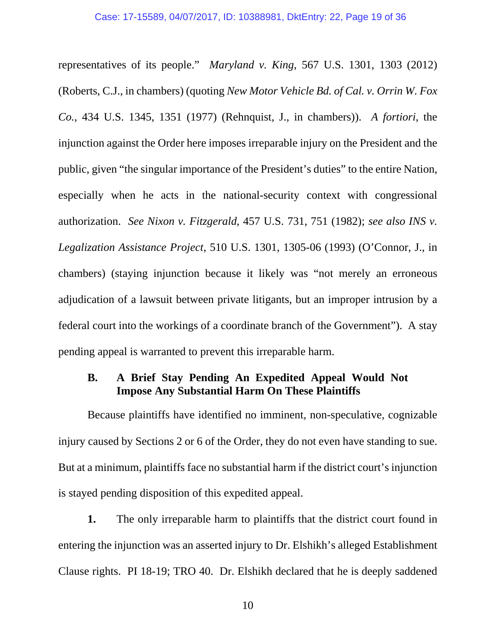representatives of its people." *Maryland v. King*, 567 U.S. 1301, 1303 (2012) (Roberts, C.J., in chambers) (quoting *New Motor Vehicle Bd. of Cal. v. Orrin W. Fox Co.*, 434 U.S. 1345, 1351 (1977) (Rehnquist, J., in chambers)). *A fortiori*, the injunction against the Order here imposes irreparable injury on the President and the public, given "the singular importance of the President's duties" to the entire Nation, especially when he acts in the national-security context with congressional authorization. *See Nixon v. Fitzgerald*, 457 U.S. 731, 751 (1982); *see also INS v. Legalization Assistance Project*, 510 U.S. 1301, 1305-06 (1993) (O'Connor, J., in chambers) (staying injunction because it likely was "not merely an erroneous adjudication of a lawsuit between private litigants, but an improper intrusion by a federal court into the workings of a coordinate branch of the Government"). A stay pending appeal is warranted to prevent this irreparable harm.

### **B. A Brief Stay Pending An Expedited Appeal Would Not Impose Any Substantial Harm On These Plaintiffs**

Because plaintiffs have identified no imminent, non-speculative, cognizable injury caused by Sections 2 or 6 of the Order, they do not even have standing to sue. But at a minimum, plaintiffs face no substantial harm if the district court's injunction is stayed pending disposition of this expedited appeal.

**1.** The only irreparable harm to plaintiffs that the district court found in entering the injunction was an asserted injury to Dr. Elshikh's alleged Establishment Clause rights. PI 18-19; TRO 40. Dr. Elshikh declared that he is deeply saddened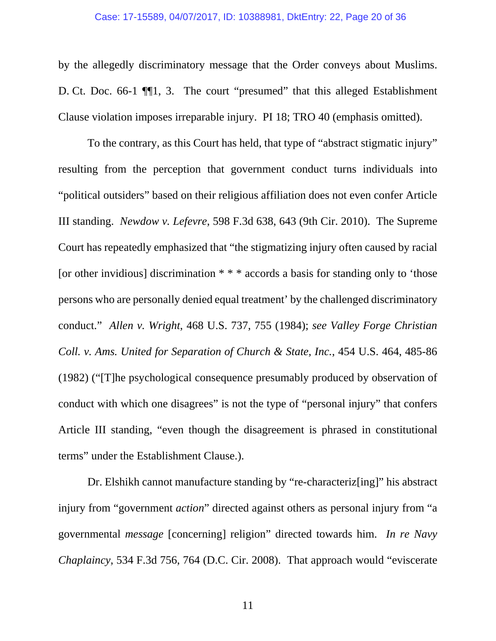by the allegedly discriminatory message that the Order conveys about Muslims. D. Ct. Doc. 66-1 ¶¶1, 3. The court "presumed" that this alleged Establishment Clause violation imposes irreparable injury. PI 18; TRO 40 (emphasis omitted).

 To the contrary, as this Court has held, that type of "abstract stigmatic injury" resulting from the perception that government conduct turns individuals into "political outsiders" based on their religious affiliation does not even confer Article III standing. *Newdow v. Lefevre*, 598 F.3d 638, 643 (9th Cir. 2010). The Supreme Court has repeatedly emphasized that "the stigmatizing injury often caused by racial [or other invidious] discrimination \* \* \* accords a basis for standing only to 'those persons who are personally denied equal treatment' by the challenged discriminatory conduct." *Allen v. Wright*, 468 U.S. 737, 755 (1984); *see Valley Forge Christian Coll. v. Ams. United for Separation of Church & State, Inc.*, 454 U.S. 464, 485-86 (1982) ("[T]he psychological consequence presumably produced by observation of conduct with which one disagrees" is not the type of "personal injury" that confers Article III standing, "even though the disagreement is phrased in constitutional terms" under the Establishment Clause.).

 Dr. Elshikh cannot manufacture standing by "re-characteriz[ing]" his abstract injury from "government *action*" directed against others as personal injury from "a governmental *message* [concerning] religion" directed towards him. *In re Navy Chaplaincy*, 534 F.3d 756, 764 (D.C. Cir. 2008). That approach would "eviscerate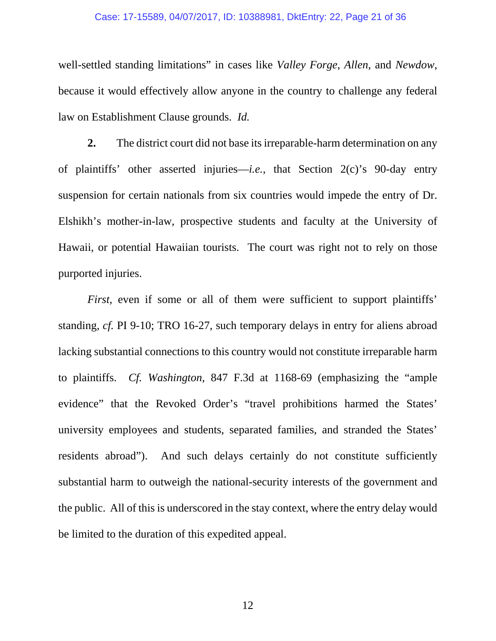#### Case: 17-15589, 04/07/2017, ID: 10388981, DktEntry: 22, Page 21 of 36

well-settled standing limitations" in cases like *Valley Forge*, *Allen*, and *Newdow*, because it would effectively allow anyone in the country to challenge any federal law on Establishment Clause grounds. *Id.* 

**2.** The district court did not base its irreparable-harm determination on any of plaintiffs' other asserted injuries—*i.e.*, that Section 2(c)'s 90-day entry suspension for certain nationals from six countries would impede the entry of Dr. Elshikh's mother-in-law, prospective students and faculty at the University of Hawaii, or potential Hawaiian tourists. The court was right not to rely on those purported injuries.

*First*, even if some or all of them were sufficient to support plaintiffs' standing, *cf.* PI 9-10; TRO 16-27, such temporary delays in entry for aliens abroad lacking substantial connections to this country would not constitute irreparable harm to plaintiffs. *Cf. Washington*, 847 F.3d at 1168-69 (emphasizing the "ample evidence" that the Revoked Order's "travel prohibitions harmed the States' university employees and students, separated families, and stranded the States' residents abroad"). And such delays certainly do not constitute sufficiently substantial harm to outweigh the national-security interests of the government and the public. All of this is underscored in the stay context, where the entry delay would be limited to the duration of this expedited appeal.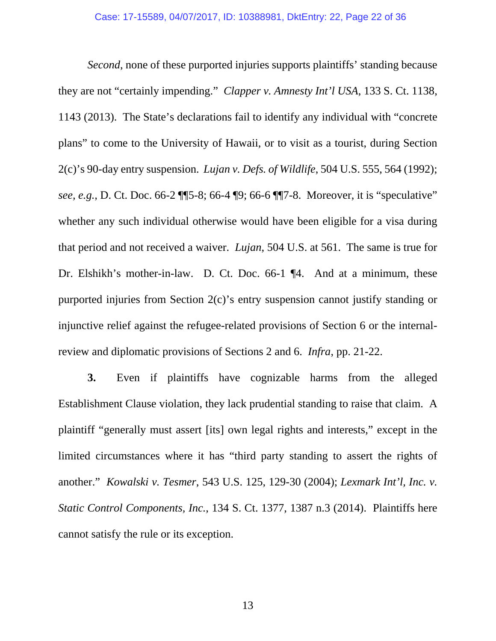*Second*, none of these purported injuries supports plaintiffs' standing because they are not "certainly impending." *Clapper v. Amnesty Int'l USA*, 133 S. Ct. 1138, 1143 (2013). The State's declarations fail to identify any individual with "concrete plans" to come to the University of Hawaii, or to visit as a tourist, during Section 2(c)'s 90-day entry suspension. *Lujan v. Defs. of Wildlife*, 504 U.S. 555, 564 (1992); *see, e.g.*, D. Ct. Doc. 66-2 ¶¶5-8; 66-4 ¶9; 66-6 ¶¶7-8. Moreover, it is "speculative" whether any such individual otherwise would have been eligible for a visa during that period and not received a waiver. *Lujan*, 504 U.S. at 561. The same is true for Dr. Elshikh's mother-in-law. D. Ct. Doc. 66-1 ¶4. And at a minimum, these purported injuries from Section 2(c)'s entry suspension cannot justify standing or injunctive relief against the refugee-related provisions of Section 6 or the internalreview and diplomatic provisions of Sections 2 and 6. *Infra*, pp. 21-22.

**3.** Even if plaintiffs have cognizable harms from the alleged Establishment Clause violation, they lack prudential standing to raise that claim. A plaintiff "generally must assert [its] own legal rights and interests," except in the limited circumstances where it has "third party standing to assert the rights of another." *Kowalski v. Tesmer*, 543 U.S. 125, 129-30 (2004); *Lexmark Int'l, Inc. v. Static Control Components, Inc.*, 134 S. Ct. 1377, 1387 n.3 (2014). Plaintiffs here cannot satisfy the rule or its exception.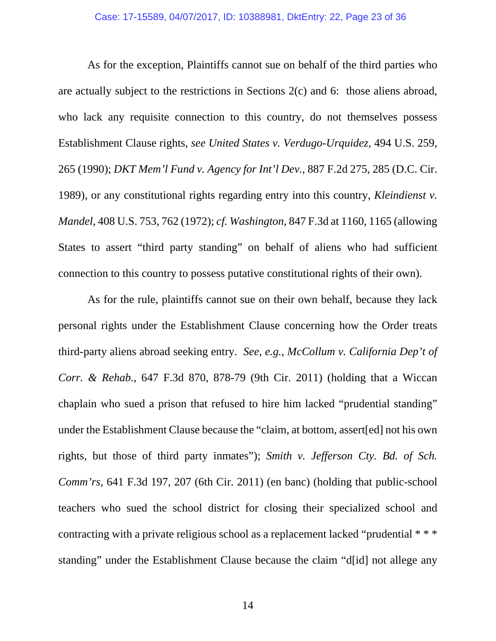As for the exception, Plaintiffs cannot sue on behalf of the third parties who are actually subject to the restrictions in Sections 2(c) and 6: those aliens abroad, who lack any requisite connection to this country, do not themselves possess Establishment Clause rights, *see United States v. Verdugo-Urquidez*, 494 U.S. 259, 265 (1990); *DKT Mem'l Fund v. Agency for Int'l Dev.*, 887 F.2d 275, 285 (D.C. Cir. 1989), or any constitutional rights regarding entry into this country, *Kleindienst v. Mandel*, 408 U.S. 753, 762 (1972); *cf. Washington*, 847 F.3d at 1160, 1165 (allowing States to assert "third party standing" on behalf of aliens who had sufficient connection to this country to possess putative constitutional rights of their own).

As for the rule, plaintiffs cannot sue on their own behalf, because they lack personal rights under the Establishment Clause concerning how the Order treats third-party aliens abroad seeking entry. *See, e.g.*, *McCollum v. California Dep't of Corr. & Rehab.*, 647 F.3d 870, 878-79 (9th Cir. 2011) (holding that a Wiccan chaplain who sued a prison that refused to hire him lacked "prudential standing" under the Establishment Clause because the "claim, at bottom, assert[ed] not his own rights, but those of third party inmates"); *Smith v. Jefferson Cty. Bd. of Sch. Comm'rs*, 641 F.3d 197, 207 (6th Cir. 2011) (en banc) (holding that public-school teachers who sued the school district for closing their specialized school and contracting with a private religious school as a replacement lacked "prudential \* \* \* standing" under the Establishment Clause because the claim "d[id] not allege any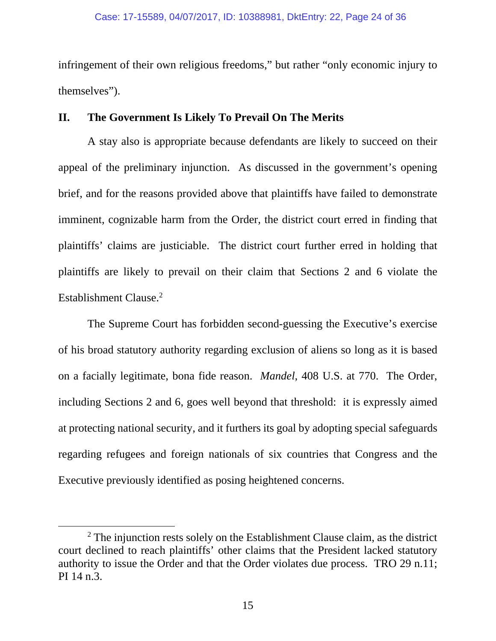infringement of their own religious freedoms," but rather "only economic injury to themselves").

### **II. The Government Is Likely To Prevail On The Merits**

A stay also is appropriate because defendants are likely to succeed on their appeal of the preliminary injunction. As discussed in the government's opening brief, and for the reasons provided above that plaintiffs have failed to demonstrate imminent, cognizable harm from the Order, the district court erred in finding that plaintiffs' claims are justiciable. The district court further erred in holding that plaintiffs are likely to prevail on their claim that Sections 2 and 6 violate the Establishment Clause.<sup>2</sup>

The Supreme Court has forbidden second-guessing the Executive's exercise of his broad statutory authority regarding exclusion of aliens so long as it is based on a facially legitimate, bona fide reason. *Mandel*, 408 U.S. at 770. The Order, including Sections 2 and 6, goes well beyond that threshold: it is expressly aimed at protecting national security, and it furthers its goal by adopting special safeguards regarding refugees and foreign nationals of six countries that Congress and the Executive previously identified as posing heightened concerns.

 $\overline{\phantom{a}}$  $2$  The injunction rests solely on the Establishment Clause claim, as the district court declined to reach plaintiffs' other claims that the President lacked statutory authority to issue the Order and that the Order violates due process. TRO 29 n.11; PI 14 n.3.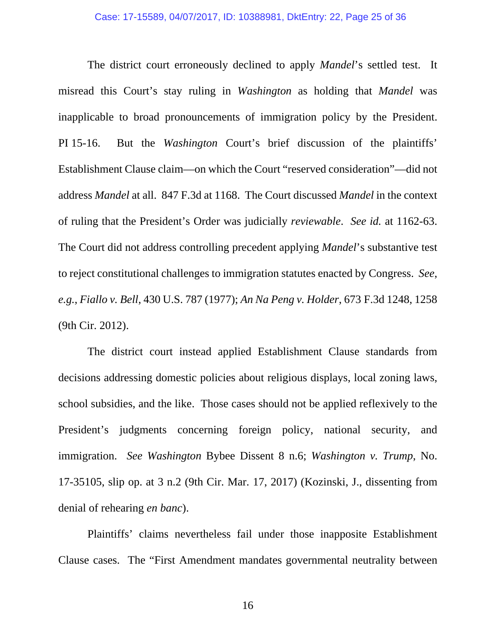The district court erroneously declined to apply *Mandel*'s settled test. It misread this Court's stay ruling in *Washington* as holding that *Mandel* was inapplicable to broad pronouncements of immigration policy by the President. PI 15-16. But the *Washington* Court's brief discussion of the plaintiffs' Establishment Clause claim—on which the Court "reserved consideration"—did not address *Mandel* at all. 847 F.3d at 1168. The Court discussed *Mandel* in the context of ruling that the President's Order was judicially *reviewable*. *See id.* at 1162-63. The Court did not address controlling precedent applying *Mandel*'s substantive test to reject constitutional challenges to immigration statutes enacted by Congress. *See*, *e.g.*, *Fiallo v. Bell*, 430 U.S. 787 (1977); *An Na Peng v. Holder*, 673 F.3d 1248, 1258 (9th Cir. 2012).

The district court instead applied Establishment Clause standards from decisions addressing domestic policies about religious displays, local zoning laws, school subsidies, and the like. Those cases should not be applied reflexively to the President's judgments concerning foreign policy, national security, and immigration. *See Washington* Bybee Dissent 8 n.6; *Washington v. Trump*, No. 17-35105, slip op. at 3 n.2 (9th Cir. Mar. 17, 2017) (Kozinski, J., dissenting from denial of rehearing *en banc*).

Plaintiffs' claims nevertheless fail under those inapposite Establishment Clause cases. The "First Amendment mandates governmental neutrality between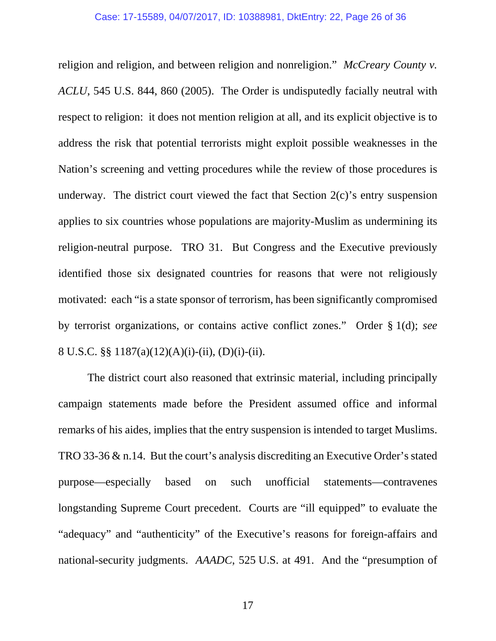religion and religion, and between religion and nonreligion." *McCreary County v. ACLU*, 545 U.S. 844, 860 (2005). The Order is undisputedly facially neutral with respect to religion: it does not mention religion at all, and its explicit objective is to address the risk that potential terrorists might exploit possible weaknesses in the Nation's screening and vetting procedures while the review of those procedures is underway. The district court viewed the fact that Section  $2(c)$ 's entry suspension applies to six countries whose populations are majority-Muslim as undermining its religion-neutral purpose. TRO 31. But Congress and the Executive previously identified those six designated countries for reasons that were not religiously motivated: each "is a state sponsor of terrorism, has been significantly compromised by terrorist organizations, or contains active conflict zones." Order § 1(d); *see*  8 U.S.C. §§ 1187(a)(12)(A)(i)-(ii), (D)(i)-(ii).

 The district court also reasoned that extrinsic material, including principally campaign statements made before the President assumed office and informal remarks of his aides, implies that the entry suspension is intended to target Muslims. TRO 33-36 & n.14. But the court's analysis discrediting an Executive Order's stated purpose—especially based on such unofficial statements—contravenes longstanding Supreme Court precedent. Courts are "ill equipped" to evaluate the "adequacy" and "authenticity" of the Executive's reasons for foreign-affairs and national-security judgments. *AAADC*, 525 U.S. at 491. And the "presumption of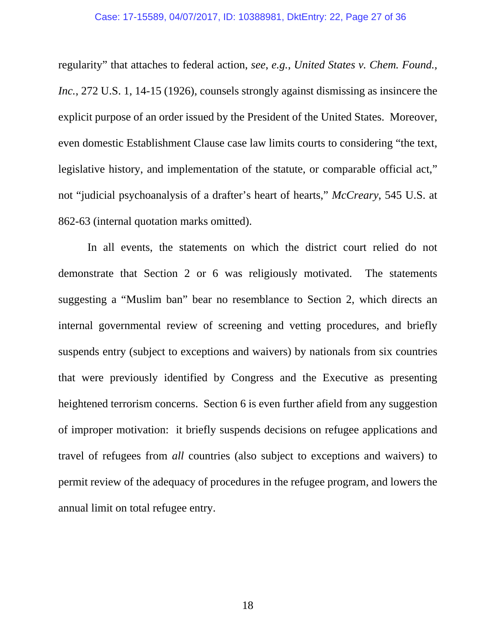regularity" that attaches to federal action, *see*, *e.g.*, *United States v. Chem. Found., Inc.*, 272 U.S. 1, 14-15 (1926), counsels strongly against dismissing as insincere the explicit purpose of an order issued by the President of the United States. Moreover, even domestic Establishment Clause case law limits courts to considering "the text, legislative history, and implementation of the statute, or comparable official act," not "judicial psychoanalysis of a drafter's heart of hearts," *McCreary*, 545 U.S. at 862-63 (internal quotation marks omitted).

 In all events, the statements on which the district court relied do not demonstrate that Section 2 or 6 was religiously motivated. The statements suggesting a "Muslim ban" bear no resemblance to Section 2, which directs an internal governmental review of screening and vetting procedures, and briefly suspends entry (subject to exceptions and waivers) by nationals from six countries that were previously identified by Congress and the Executive as presenting heightened terrorism concerns. Section 6 is even further afield from any suggestion of improper motivation: it briefly suspends decisions on refugee applications and travel of refugees from *all* countries (also subject to exceptions and waivers) to permit review of the adequacy of procedures in the refugee program, and lowers the annual limit on total refugee entry.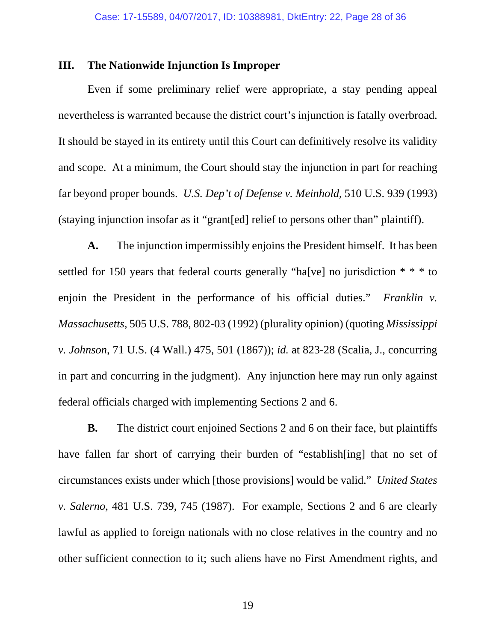### **III. The Nationwide Injunction Is Improper**

Even if some preliminary relief were appropriate, a stay pending appeal nevertheless is warranted because the district court's injunction is fatally overbroad. It should be stayed in its entirety until this Court can definitively resolve its validity and scope. At a minimum, the Court should stay the injunction in part for reaching far beyond proper bounds. *U.S. Dep't of Defense v. Meinhold*, 510 U.S. 939 (1993) (staying injunction insofar as it "grant[ed] relief to persons other than" plaintiff).

**A.** The injunction impermissibly enjoins the President himself. It has been settled for 150 years that federal courts generally "ha[ve] no jurisdiction  $**$  to enjoin the President in the performance of his official duties." *Franklin v. Massachusetts*, 505 U.S. 788, 802-03 (1992) (plurality opinion) (quoting *Mississippi v. Johnson*, 71 U.S. (4 Wall.) 475, 501 (1867)); *id.* at 823-28 (Scalia, J., concurring in part and concurring in the judgment). Any injunction here may run only against federal officials charged with implementing Sections 2 and 6.

**B.** The district court enjoined Sections 2 and 6 on their face, but plaintiffs have fallen far short of carrying their burden of "establish[ing] that no set of circumstances exists under which [those provisions] would be valid." *United States v. Salerno*, 481 U.S. 739, 745 (1987). For example, Sections 2 and 6 are clearly lawful as applied to foreign nationals with no close relatives in the country and no other sufficient connection to it; such aliens have no First Amendment rights, and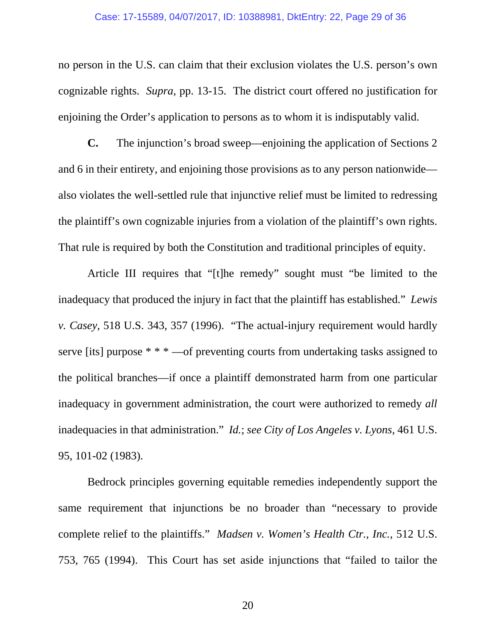#### Case: 17-15589, 04/07/2017, ID: 10388981, DktEntry: 22, Page 29 of 36

no person in the U.S. can claim that their exclusion violates the U.S. person's own cognizable rights. *Supra*, pp. 13-15. The district court offered no justification for enjoining the Order's application to persons as to whom it is indisputably valid.

**C.** The injunction's broad sweep—enjoining the application of Sections 2 and 6 in their entirety, and enjoining those provisions as to any person nationwide also violates the well-settled rule that injunctive relief must be limited to redressing the plaintiff's own cognizable injuries from a violation of the plaintiff's own rights. That rule is required by both the Constitution and traditional principles of equity.

Article III requires that "[t]he remedy" sought must "be limited to the inadequacy that produced the injury in fact that the plaintiff has established." *Lewis v. Casey*, 518 U.S. 343, 357 (1996). "The actual-injury requirement would hardly serve [its] purpose \* \* \* —of preventing courts from undertaking tasks assigned to the political branches—if once a plaintiff demonstrated harm from one particular inadequacy in government administration, the court were authorized to remedy *all* inadequacies in that administration." *Id.*; *see City of Los Angeles v. Lyons*, 461 U.S. 95, 101-02 (1983).

Bedrock principles governing equitable remedies independently support the same requirement that injunctions be no broader than "necessary to provide complete relief to the plaintiffs." *Madsen v. Women's Health Ctr., Inc.*, 512 U.S. 753, 765 (1994). This Court has set aside injunctions that "failed to tailor the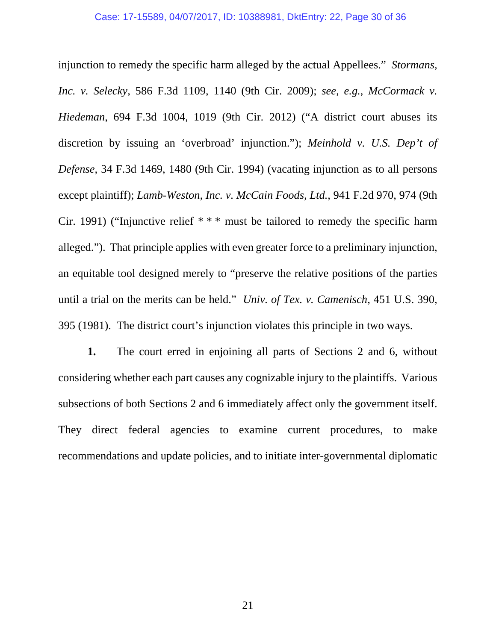injunction to remedy the specific harm alleged by the actual Appellees." *Stormans, Inc. v. Selecky*, 586 F.3d 1109, 1140 (9th Cir. 2009); *see, e.g.*, *McCormack v. Hiedeman*, 694 F.3d 1004, 1019 (9th Cir. 2012) ("A district court abuses its discretion by issuing an 'overbroad' injunction."); *Meinhold v. U.S. Dep't of Defense*, 34 F.3d 1469, 1480 (9th Cir. 1994) (vacating injunction as to all persons except plaintiff); *Lamb-Weston, Inc. v. McCain Foods, Ltd.*, 941 F.2d 970, 974 (9th Cir. 1991) ("Injunctive relief \* \* \* must be tailored to remedy the specific harm alleged."). That principle applies with even greater force to a preliminary injunction, an equitable tool designed merely to "preserve the relative positions of the parties until a trial on the merits can be held." *Univ. of Tex. v. Camenisch*, 451 U.S. 390, 395 (1981). The district court's injunction violates this principle in two ways.

**1.** The court erred in enjoining all parts of Sections 2 and 6, without considering whether each part causes any cognizable injury to the plaintiffs. Various subsections of both Sections 2 and 6 immediately affect only the government itself. They direct federal agencies to examine current procedures, to make recommendations and update policies, and to initiate inter-governmental diplomatic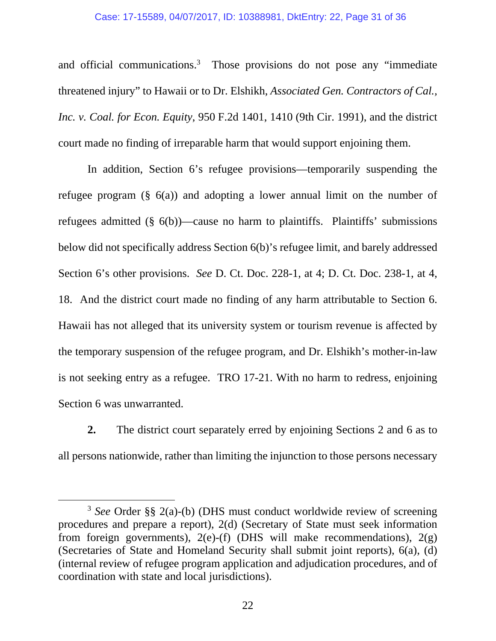#### Case: 17-15589, 04/07/2017, ID: 10388981, DktEntry: 22, Page 31 of 36

and official communications.3 Those provisions do not pose any "immediate threatened injury" to Hawaii or to Dr. Elshikh, *Associated Gen. Contractors of Cal., Inc. v. Coal. for Econ. Equity*, 950 F.2d 1401, 1410 (9th Cir. 1991), and the district court made no finding of irreparable harm that would support enjoining them.

In addition, Section 6's refugee provisions—temporarily suspending the refugee program  $(\S$  6(a)) and adopting a lower annual limit on the number of refugees admitted  $(\S$  6(b))—cause no harm to plaintiffs. Plaintiffs' submissions below did not specifically address Section 6(b)'s refugee limit, and barely addressed Section 6's other provisions. *See* D. Ct. Doc. 228-1, at 4; D. Ct. Doc. 238-1, at 4, 18. And the district court made no finding of any harm attributable to Section 6. Hawaii has not alleged that its university system or tourism revenue is affected by the temporary suspension of the refugee program, and Dr. Elshikh's mother-in-law is not seeking entry as a refugee. TRO 17-21. With no harm to redress, enjoining Section 6 was unwarranted.

**2.** The district court separately erred by enjoining Sections 2 and 6 as to all persons nationwide, rather than limiting the injunction to those persons necessary

 <sup>3</sup> *See* Order §§ 2(a)-(b) (DHS must conduct worldwide review of screening procedures and prepare a report), 2(d) (Secretary of State must seek information from foreign governments),  $2(e)$ -(f) (DHS will make recommendations),  $2(g)$ (Secretaries of State and Homeland Security shall submit joint reports), 6(a), (d) (internal review of refugee program application and adjudication procedures, and of coordination with state and local jurisdictions).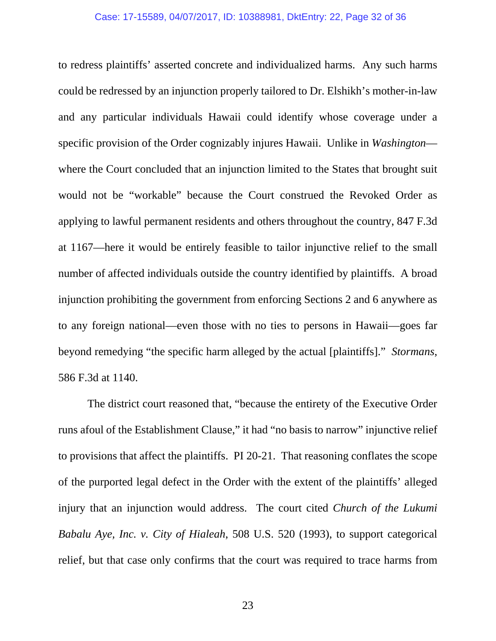to redress plaintiffs' asserted concrete and individualized harms. Any such harms could be redressed by an injunction properly tailored to Dr. Elshikh's mother-in-law and any particular individuals Hawaii could identify whose coverage under a specific provision of the Order cognizably injures Hawaii. Unlike in *Washington* where the Court concluded that an injunction limited to the States that brought suit would not be "workable" because the Court construed the Revoked Order as applying to lawful permanent residents and others throughout the country, 847 F.3d at 1167—here it would be entirely feasible to tailor injunctive relief to the small number of affected individuals outside the country identified by plaintiffs. A broad injunction prohibiting the government from enforcing Sections 2 and 6 anywhere as to any foreign national—even those with no ties to persons in Hawaii—goes far beyond remedying "the specific harm alleged by the actual [plaintiffs]." *Stormans*, 586 F.3d at 1140.

The district court reasoned that, "because the entirety of the Executive Order runs afoul of the Establishment Clause," it had "no basis to narrow" injunctive relief to provisions that affect the plaintiffs. PI 20-21. That reasoning conflates the scope of the purported legal defect in the Order with the extent of the plaintiffs' alleged injury that an injunction would address. The court cited *Church of the Lukumi Babalu Aye, Inc. v. City of Hialeah*, 508 U.S. 520 (1993), to support categorical relief, but that case only confirms that the court was required to trace harms from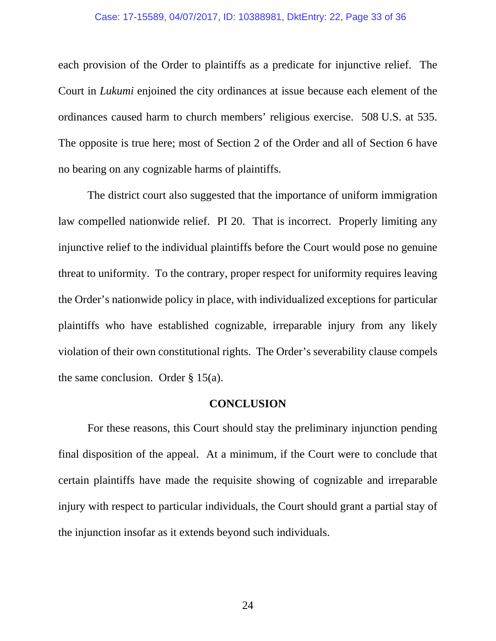#### Case: 17-15589, 04/07/2017, ID: 10388981, DktEntry: 22, Page 33 of 36

each provision of the Order to plaintiffs as a predicate for injunctive relief. The Court in *Lukumi* enjoined the city ordinances at issue because each element of the ordinances caused harm to church members' religious exercise. 508 U.S. at 535. The opposite is true here; most of Section 2 of the Order and all of Section 6 have no bearing on any cognizable harms of plaintiffs.

The district court also suggested that the importance of uniform immigration law compelled nationwide relief. PI 20. That is incorrect. Properly limiting any injunctive relief to the individual plaintiffs before the Court would pose no genuine threat to uniformity. To the contrary, proper respect for uniformity requires leaving the Order's nationwide policy in place, with individualized exceptions for particular plaintiffs who have established cognizable, irreparable injury from any likely violation of their own constitutional rights. The Order's severability clause compels the same conclusion. Order  $\S$  15(a).

### **CONCLUSION**

For these reasons, this Court should stay the preliminary injunction pending final disposition of the appeal. At a minimum, if the Court were to conclude that certain plaintiffs have made the requisite showing of cognizable and irreparable injury with respect to particular individuals, the Court should grant a partial stay of the injunction insofar as it extends beyond such individuals.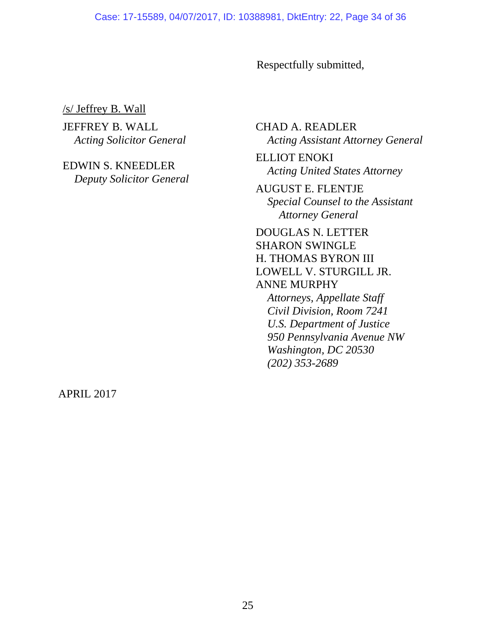#### Case: 17-15589, 04/07/2017, ID: 10388981, DktEntry: 22, Page 34 of 36

Respectfully submitted,

/s/ Jeffrey B. Wall

JEFFREY B. WALL *Acting Solicitor General* 

EDWIN S. KNEEDLER *Deputy Solicitor General*  CHAD A. READLER *Acting Assistant Attorney General* 

ELLIOT ENOKI *Acting United States Attorney* 

AUGUST E. FLENTJE *Special Counsel to the Assistant Attorney General* 

DOUGLAS N. LETTER SHARON SWINGLE H. THOMAS BYRON III LOWELL V. STURGILL JR. ANNE MURPHY *Attorneys, Appellate Staff* 

*Civil Division, Room 7241 U.S. Department of Justice 950 Pennsylvania Avenue NW Washington, DC 20530 (202) 353-2689* 

APRIL 2017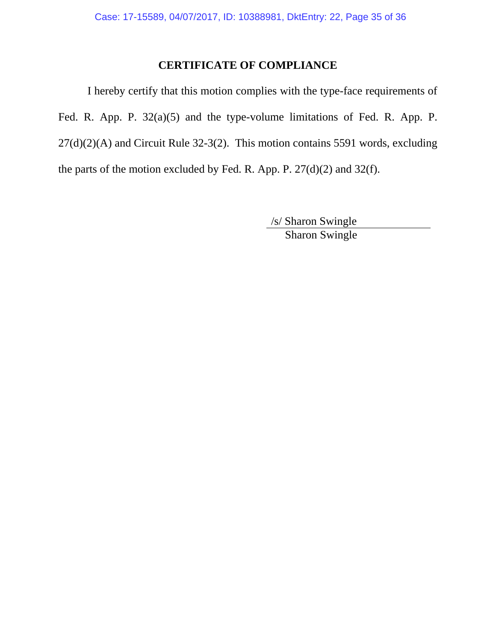### **CERTIFICATE OF COMPLIANCE**

I hereby certify that this motion complies with the type-face requirements of Fed. R. App. P. 32(a)(5) and the type-volume limitations of Fed. R. App. P.  $27(d)(2)(A)$  and Circuit Rule 32-3(2). This motion contains 5591 words, excluding the parts of the motion excluded by Fed. R. App. P. 27(d)(2) and 32(f).

> /s/ Sharon Swingle Sharon Swingle